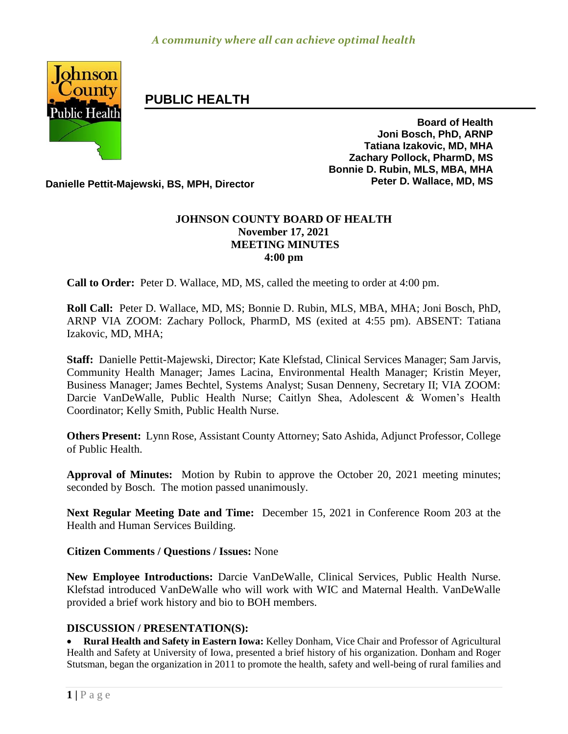

# **PUBLIC HEALTH**

**Board of Health Joni Bosch, PhD, ARNP Tatiana Izakovic, MD, MHA Zachary Pollock, PharmD, MS Bonnie D. Rubin, MLS, MBA, MHA**

**Danielle Pettit-Majewski, BS, MPH, Director Peter D. Wallace, MD, MS** 

## **JOHNSON COUNTY BOARD OF HEALTH November 17, 2021 MEETING MINUTES 4:00 pm**

**Call to Order:** Peter D. Wallace, MD, MS, called the meeting to order at 4:00 pm.

**Roll Call:** Peter D. Wallace, MD, MS; Bonnie D. Rubin, MLS, MBA, MHA; Joni Bosch, PhD, ARNP VIA ZOOM: Zachary Pollock, PharmD, MS (exited at 4:55 pm). ABSENT: Tatiana Izakovic, MD, MHA;

**Staff:** Danielle Pettit-Majewski, Director; Kate Klefstad, Clinical Services Manager; Sam Jarvis, Community Health Manager; James Lacina, Environmental Health Manager; Kristin Meyer, Business Manager; James Bechtel, Systems Analyst; Susan Denneny, Secretary II; VIA ZOOM: Darcie VanDeWalle, Public Health Nurse; Caitlyn Shea, Adolescent & Women's Health Coordinator; Kelly Smith, Public Health Nurse.

**Others Present:** Lynn Rose, Assistant County Attorney; Sato Ashida, Adjunct Professor, College of Public Health.

**Approval of Minutes:** Motion by Rubin to approve the October 20, 2021 meeting minutes; seconded by Bosch. The motion passed unanimously.

**Next Regular Meeting Date and Time:** December 15, 2021 in Conference Room 203 at the Health and Human Services Building.

**Citizen Comments / Questions / Issues:** None

**New Employee Introductions:** Darcie VanDeWalle, Clinical Services, Public Health Nurse. Klefstad introduced VanDeWalle who will work with WIC and Maternal Health. VanDeWalle provided a brief work history and bio to BOH members.

### **DISCUSSION / PRESENTATION(S):**

 **Rural Health and Safety in Eastern Iowa:** Kelley Donham, Vice Chair and Professor of Agricultural Health and Safety at University of Iowa, presented a brief history of his organization. Donham and Roger Stutsman, began the organization in 2011 to promote the health, safety and well-being of rural families and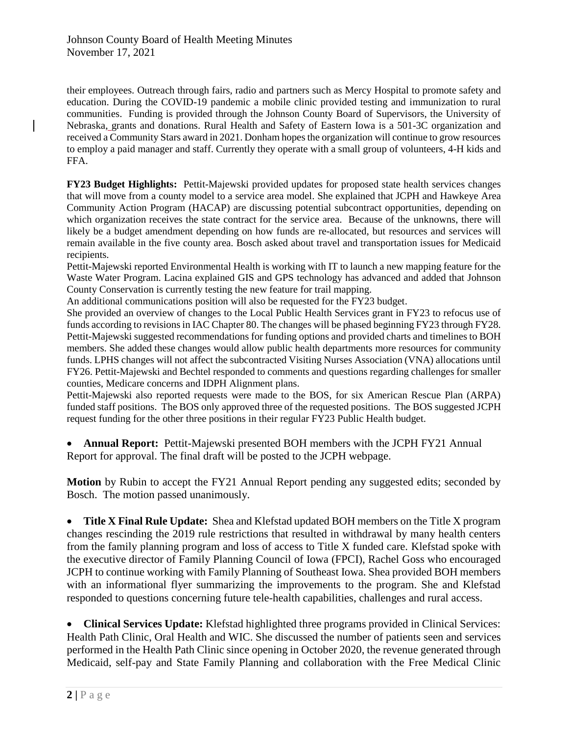their employees. Outreach through fairs, radio and partners such as Mercy Hospital to promote safety and education. During the COVID-19 pandemic a mobile clinic provided testing and immunization to rural communities. Funding is provided through the Johnson County Board of Supervisors, the University of Nebraska, grants and donations. Rural Health and Safety of Eastern Iowa is a 501-3C organization and received a Community Stars award in 2021. Donham hopes the organization will continue to grow resources to employ a paid manager and staff. Currently they operate with a small group of volunteers, 4-H kids and FFA.

**FY23 Budget Highlights:** Pettit-Majewski provided updates for proposed state health services changes that will move from a county model to a service area model. She explained that JCPH and Hawkeye Area Community Action Program (HACAP) are discussing potential subcontract opportunities, depending on which organization receives the state contract for the service area. Because of the unknowns, there will likely be a budget amendment depending on how funds are re-allocated, but resources and services will remain available in the five county area. Bosch asked about travel and transportation issues for Medicaid recipients.

Pettit-Majewski reported Environmental Health is working with IT to launch a new mapping feature for the Waste Water Program. Lacina explained GIS and GPS technology has advanced and added that Johnson County Conservation is currently testing the new feature for trail mapping.

An additional communications position will also be requested for the FY23 budget.

She provided an overview of changes to the Local Public Health Services grant in FY23 to refocus use of funds according to revisions in IAC Chapter 80. The changes will be phased beginning FY23 through FY28. Pettit-Majewski suggested recommendations for funding options and provided charts and timelines to BOH members. She added these changes would allow public health departments more resources for community funds. LPHS changes will not affect the subcontracted Visiting Nurses Association (VNA) allocations until FY26. Pettit-Majewski and Bechtel responded to comments and questions regarding challenges for smaller counties, Medicare concerns and IDPH Alignment plans.

Pettit-Majewski also reported requests were made to the BOS, for six American Rescue Plan (ARPA) funded staff positions. The BOS only approved three of the requested positions. The BOS suggested JCPH request funding for the other three positions in their regular FY23 Public Health budget.

 **Annual Report:** Pettit-Majewski presented BOH members with the JCPH FY21 Annual Report for approval. The final draft will be posted to the JCPH webpage.

**Motion** by Rubin to accept the FY21 Annual Report pending any suggested edits; seconded by Bosch. The motion passed unanimously.

 **Title X Final Rule Update:** Shea and Klefstad updated BOH members on the Title X program changes rescinding the 2019 rule restrictions that resulted in withdrawal by many health centers from the family planning program and loss of access to Title X funded care. Klefstad spoke with the executive director of Family Planning Council of Iowa (FPCI), Rachel Goss who encouraged JCPH to continue working with Family Planning of Southeast Iowa. Shea provided BOH members with an informational flyer summarizing the improvements to the program. She and Klefstad responded to questions concerning future tele-health capabilities, challenges and rural access.

 **Clinical Services Update:** Klefstad highlighted three programs provided in Clinical Services: Health Path Clinic, Oral Health and WIC. She discussed the number of patients seen and services performed in the Health Path Clinic since opening in October 2020, the revenue generated through Medicaid, self-pay and State Family Planning and collaboration with the Free Medical Clinic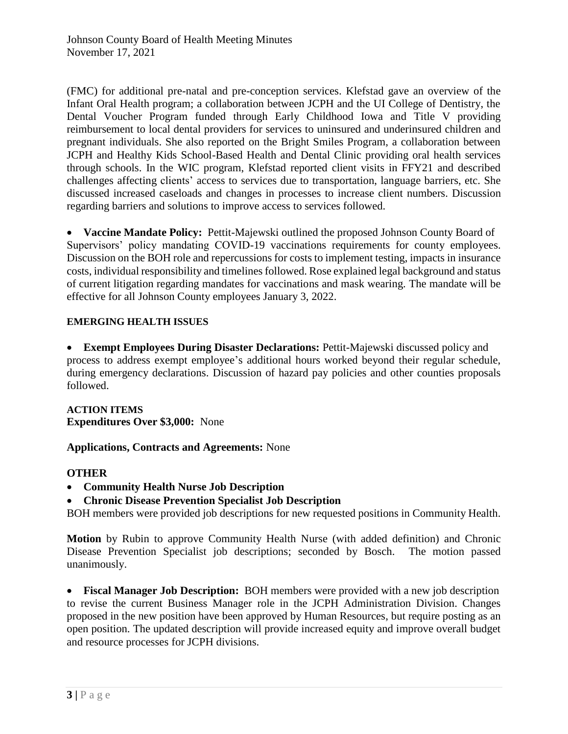(FMC) for additional pre-natal and pre-conception services. Klefstad gave an overview of the Infant Oral Health program; a collaboration between JCPH and the UI College of Dentistry, the Dental Voucher Program funded through Early Childhood Iowa and Title V providing reimbursement to local dental providers for services to uninsured and underinsured children and pregnant individuals. She also reported on the Bright Smiles Program, a collaboration between JCPH and Healthy Kids School-Based Health and Dental Clinic providing oral health services through schools. In the WIC program, Klefstad reported client visits in FFY21 and described challenges affecting clients' access to services due to transportation, language barriers, etc. She discussed increased caseloads and changes in processes to increase client numbers. Discussion regarding barriers and solutions to improve access to services followed.

 **Vaccine Mandate Policy:** Pettit-Majewski outlined the proposed Johnson County Board of Supervisors' policy mandating COVID-19 vaccinations requirements for county employees. Discussion on the BOH role and repercussions for costs to implement testing, impacts in insurance costs, individual responsibility and timelines followed. Rose explained legal background and status of current litigation regarding mandates for vaccinations and mask wearing. The mandate will be effective for all Johnson County employees January 3, 2022.

### **EMERGING HEALTH ISSUES**

 **Exempt Employees During Disaster Declarations:** Pettit-Majewski discussed policy and process to address exempt employee's additional hours worked beyond their regular schedule, during emergency declarations. Discussion of hazard pay policies and other counties proposals followed.

**ACTION ITEMS Expenditures Over \$3,000:** None

**Applications, Contracts and Agreements:** None

### **OTHER**

- **Community Health Nurse Job Description**
- **Chronic Disease Prevention Specialist Job Description**

BOH members were provided job descriptions for new requested positions in Community Health.

**Motion** by Rubin to approve Community Health Nurse (with added definition) and Chronic Disease Prevention Specialist job descriptions; seconded by Bosch. The motion passed unanimously.

 **Fiscal Manager Job Description:** BOH members were provided with a new job description to revise the current Business Manager role in the JCPH Administration Division. Changes proposed in the new position have been approved by Human Resources, but require posting as an open position. The updated description will provide increased equity and improve overall budget and resource processes for JCPH divisions.